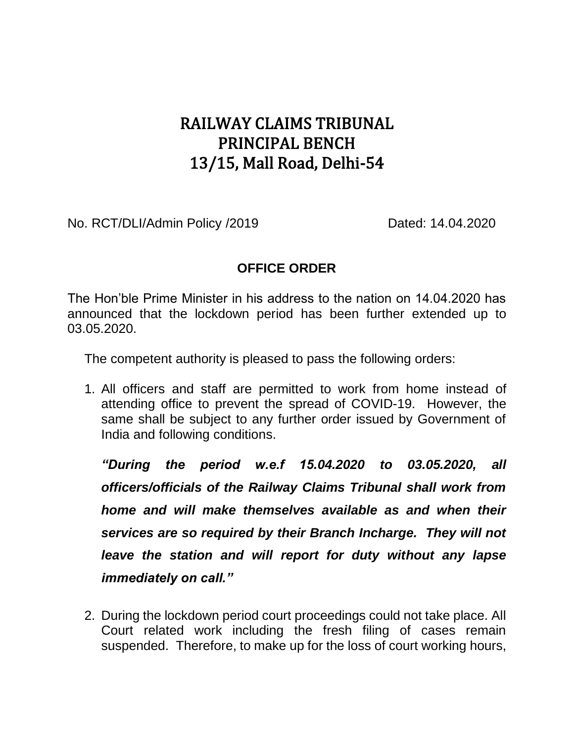## RAILWAY CLAIMS TRIBUNAL PRINCIPAL BENCH 13/15, Mall Road, Delhi-54

No. RCT/DLI/Admin Policy /2019 Dated: 14.04.2020

## **OFFICE ORDER**

The Hon'ble Prime Minister in his address to the nation on 14.04.2020 has announced that the lockdown period has been further extended up to 03.05.2020.

The competent authority is pleased to pass the following orders:

1. All officers and staff are permitted to work from home instead of attending office to prevent the spread of COVID-19. However, the same shall be subject to any further order issued by Government of India and following conditions.

*"During the period w.e.f 15.04.2020 to 03.05.2020, all officers/officials of the Railway Claims Tribunal shall work from home and will make themselves available as and when their services are so required by their Branch Incharge. They will not leave the station and will report for duty without any lapse immediately on call."*

2. During the lockdown period court proceedings could not take place. All Court related work including the fresh filing of cases remain suspended. Therefore, to make up for the loss of court working hours,